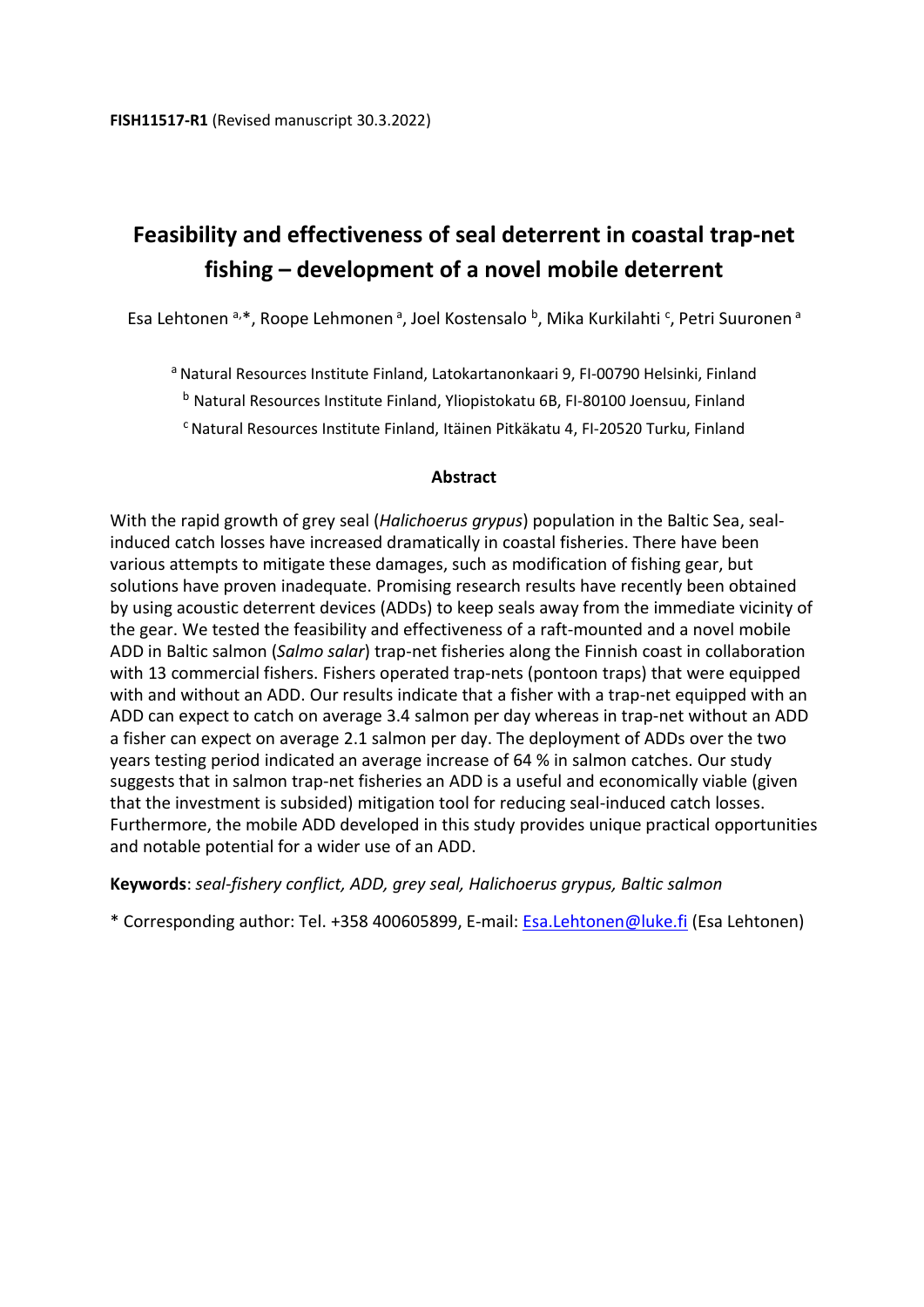# **Feasibility and effectiveness of seal deterrent in coastal trap-net fishing – development of a novel mobile deterrent**

Esa Lehtonen <sup>a,\*</sup>, Roope Lehmonen <sup>a</sup>, Joel Kostensalo <sup>b</sup>, Mika Kurkilahti <sup>c</sup>, Petri Suuronen <sup>a</sup>

a Natural Resources Institute Finland, Latokartanonkaari 9, FI-00790 Helsinki, Finland

<sup>b</sup> Natural Resources Institute Finland, Yliopistokatu 6B, FI-80100 Joensuu, Finland

<sup>c</sup> Natural Resources Institute Finland, Itäinen Pitkäkatu 4, FI-20520 Turku, Finland

#### **Abstract**

With the rapid growth of grey seal (*Halichoerus grypus*) population in the Baltic Sea, sealinduced catch losses have increased dramatically in coastal fisheries. There have been various attempts to mitigate these damages, such as modification of fishing gear, but solutions have proven inadequate. Promising research results have recently been obtained by using acoustic deterrent devices (ADDs) to keep seals away from the immediate vicinity of the gear. We tested the feasibility and effectiveness of a raft-mounted and a novel mobile ADD in Baltic salmon (*Salmo salar*) trap-net fisheries along the Finnish coast in collaboration with 13 commercial fishers. Fishers operated trap-nets (pontoon traps) that were equipped with and without an ADD. Our results indicate that a fisher with a trap-net equipped with an ADD can expect to catch on average 3.4 salmon per day whereas in trap-net without an ADD a fisher can expect on average 2.1 salmon per day. The deployment of ADDs over the two years testing period indicated an average increase of 64 % in salmon catches. Our study suggests that in salmon trap-net fisheries an ADD is a useful and economically viable (given that the investment is subsided) mitigation tool for reducing seal-induced catch losses. Furthermore, the mobile ADD developed in this study provides unique practical opportunities and notable potential for a wider use of an ADD.

**Keywords**: *seal-fishery conflict, ADD, grey seal, Halichoerus grypus, Baltic salmon* 

\* Corresponding author: Tel. +358 400605899, E-mail: [Esa.Lehtonen@luke.fi](mailto:Esa.Lehtonen@luke.fi) (Esa Lehtonen)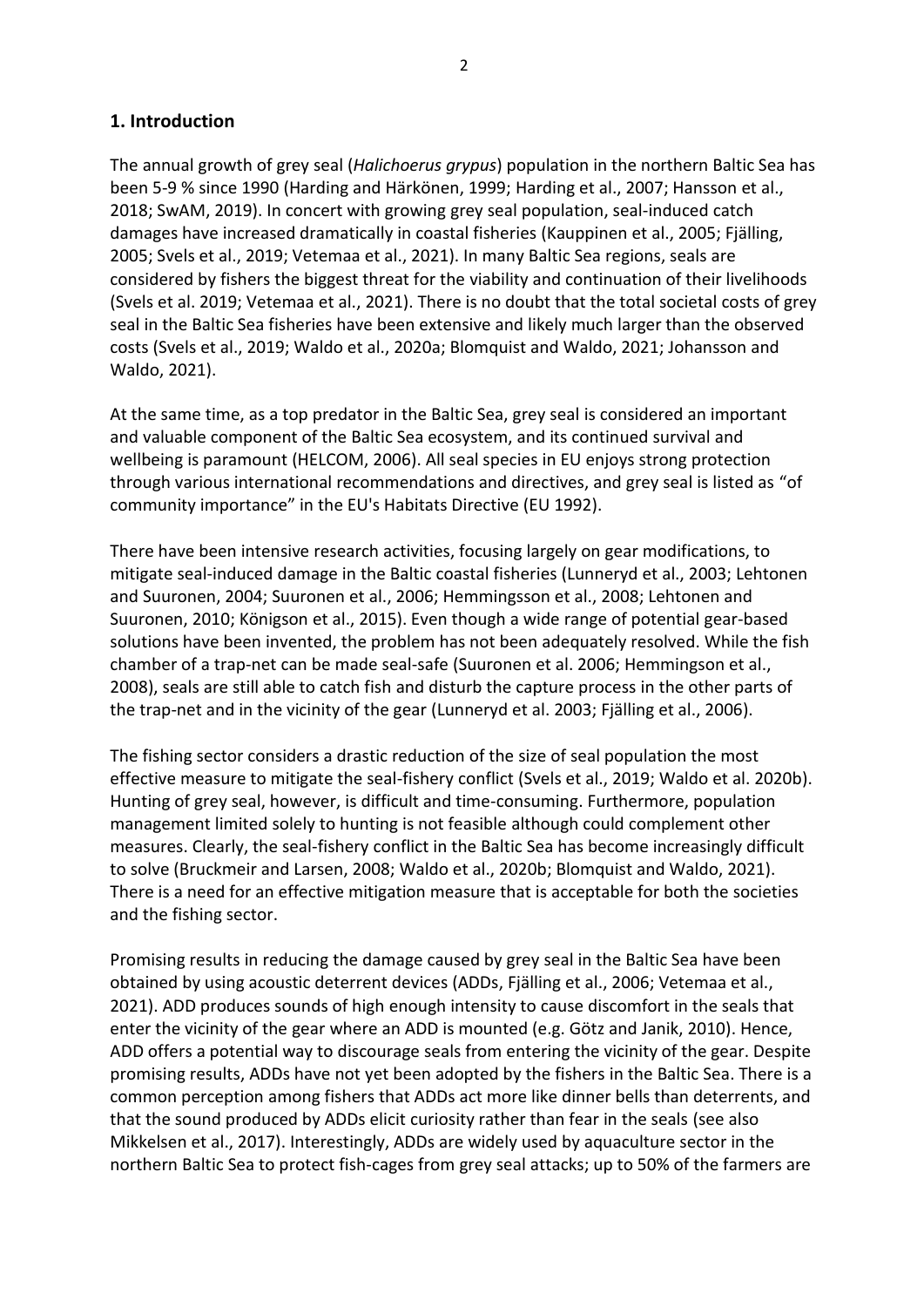### **1. Introduction**

The annual growth of grey seal (*Halichoerus grypus*) population in the northern Baltic Sea has been 5-9 % since 1990 (Harding and Härkönen, 1999; Harding et al., 2007; Hansson et al., 2018; SwAM, 2019). In concert with growing grey seal population, seal-induced catch damages have increased dramatically in coastal fisheries (Kauppinen et al., 2005; Fjälling, 2005; Svels et al., 2019; Vetemaa et al., 2021). In many Baltic Sea regions, seals are considered by fishers the biggest threat for the viability and continuation of their livelihoods (Svels et al. 2019; Vetemaa et al., 2021). There is no doubt that the total societal costs of grey seal in the Baltic Sea fisheries have been extensive and likely much larger than the observed costs (Svels et al., 2019; Waldo et al., 2020a; Blomquist and Waldo, 2021; Johansson and Waldo, 2021).

At the same time, as a top predator in the Baltic Sea, grey seal is considered an important and valuable component of the Baltic Sea ecosystem, and its continued survival and wellbeing is paramount (HELCOM, 2006). All seal species in EU enjoys strong protection through various international recommendations and directives, and grey seal is listed as "of community importance" in the EU's Habitats Directive (EU 1992).

There have been intensive research activities, focusing largely on gear modifications, to mitigate seal-induced damage in the Baltic coastal fisheries (Lunneryd et al., 2003; Lehtonen and Suuronen, 2004; Suuronen et al., 2006; Hemmingsson et al., 2008; Lehtonen and Suuronen, 2010; Königson et al., 2015). Even though a wide range of potential gear-based solutions have been invented, the problem has not been adequately resolved. While the fish chamber of a trap-net can be made seal-safe (Suuronen et al. 2006; Hemmingson et al., 2008), seals are still able to catch fish and disturb the capture process in the other parts of the trap-net and in the vicinity of the gear (Lunneryd et al. 2003; Fjälling et al., 2006).

The fishing sector considers a drastic reduction of the size of seal population the most effective measure to mitigate the seal-fishery conflict (Svels et al., 2019; Waldo et al. 2020b). Hunting of grey seal, however, is difficult and time-consuming. Furthermore, population management limited solely to hunting is not feasible although could complement other measures. Clearly, the seal-fishery conflict in the Baltic Sea has become increasingly difficult to solve (Bruckmeir and Larsen, 2008; Waldo et al., 2020b; Blomquist and Waldo, 2021). There is a need for an effective mitigation measure that is acceptable for both the societies and the fishing sector.

Promising results in reducing the damage caused by grey seal in the Baltic Sea have been obtained by using acoustic deterrent devices (ADDs, Fjälling et al., 2006; Vetemaa et al., 2021). ADD produces sounds of high enough intensity to cause discomfort in the seals that enter the vicinity of the gear where an ADD is mounted (e.g. Götz and Janik, 2010). Hence, ADD offers a potential way to discourage seals from entering the vicinity of the gear. Despite promising results, ADDs have not yet been adopted by the fishers in the Baltic Sea. There is a common perception among fishers that ADDs act more like dinner bells than deterrents, and that the sound produced by ADDs elicit curiosity rather than fear in the seals (see also Mikkelsen et al., 2017). Interestingly, ADDs are widely used by aquaculture sector in the northern Baltic Sea to protect fish-cages from grey seal attacks; up to 50% of the farmers are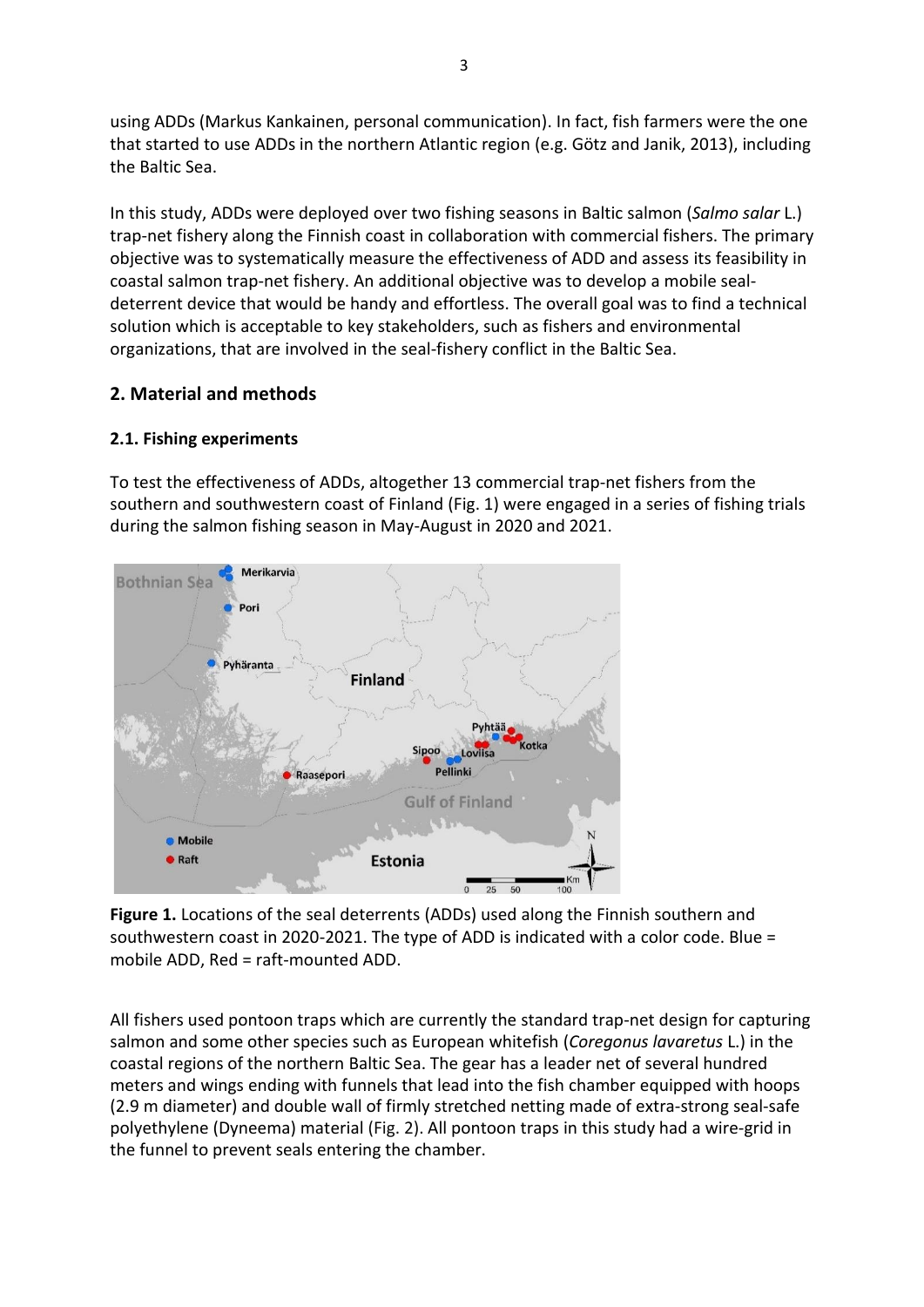using ADDs (Markus Kankainen, personal communication). In fact, fish farmers were the one that started to use ADDs in the northern Atlantic region (e.g. Götz and Janik, 2013), including the Baltic Sea.

In this study, ADDs were deployed over two fishing seasons in Baltic salmon (*Salmo salar* L.) trap-net fishery along the Finnish coast in collaboration with commercial fishers. The primary objective was to systematically measure the effectiveness of ADD and assess its feasibility in coastal salmon trap-net fishery. An additional objective was to develop a mobile sealdeterrent device that would be handy and effortless. The overall goal was to find a technical solution which is acceptable to key stakeholders, such as fishers and environmental organizations, that are involved in the seal-fishery conflict in the Baltic Sea.

# **2. Material and methods**

# **2.1. Fishing experiments**

To test the effectiveness of ADDs, altogether 13 commercial trap-net fishers from the southern and southwestern coast of Finland (Fig. 1) were engaged in a series of fishing trials during the salmon fishing season in May-August in 2020 and 2021.



**Figure 1.** Locations of the seal deterrents (ADDs) used along the Finnish southern and southwestern coast in 2020-2021. The type of ADD is indicated with a color code. Blue = mobile ADD, Red = raft-mounted ADD.

All fishers used pontoon traps which are currently the standard trap-net design for capturing salmon and some other species such as European whitefish (*Coregonus lavaretus* L.) in the coastal regions of the northern Baltic Sea. The gear has a leader net of several hundred meters and wings ending with funnels that lead into the fish chamber equipped with hoops (2.9 m diameter) and double wall of firmly stretched netting made of extra-strong seal-safe polyethylene (Dyneema) material (Fig. 2). All pontoon traps in this study had a wire-grid in the funnel to prevent seals entering the chamber.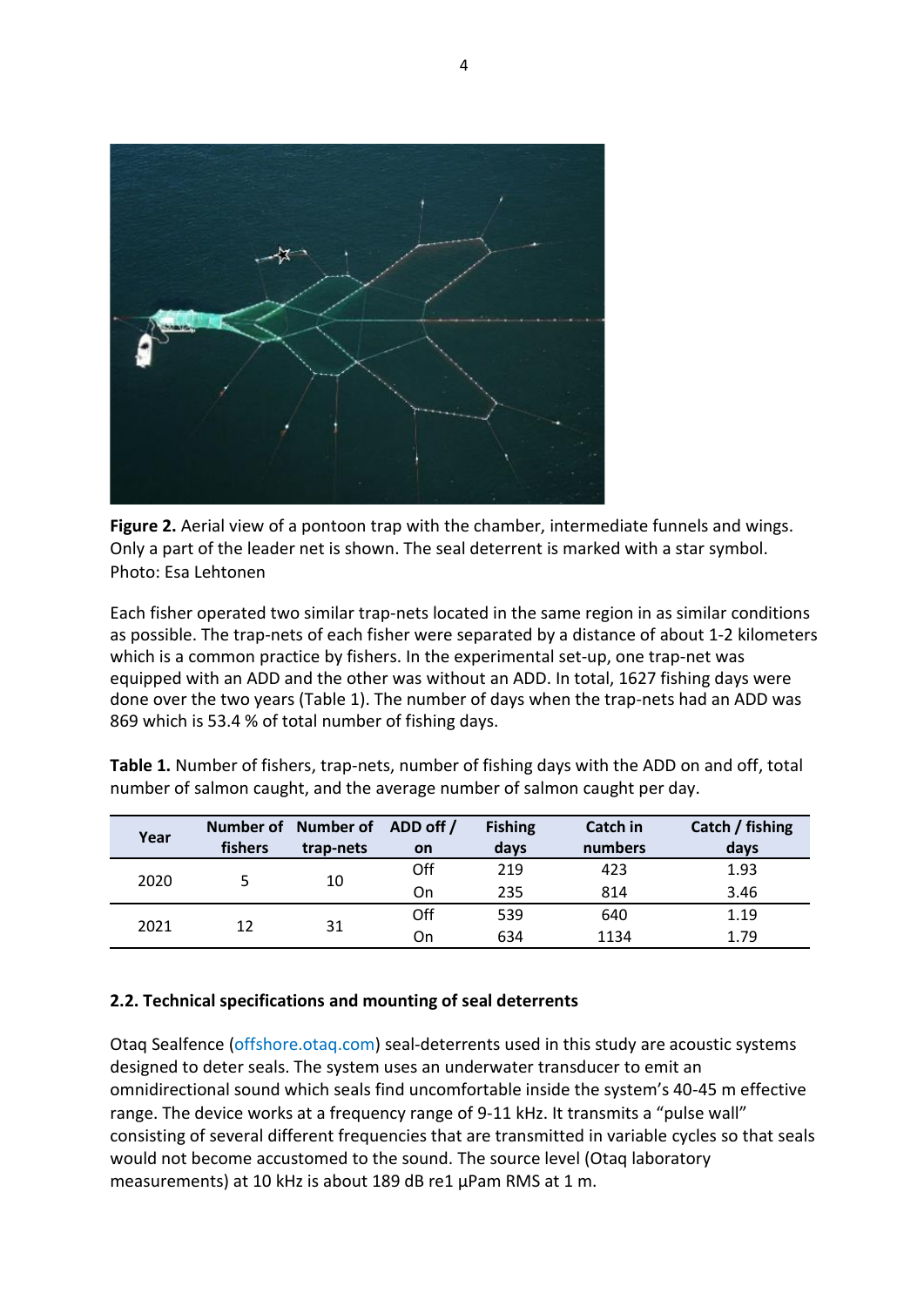

**Figure 2.** Aerial view of a pontoon trap with the chamber, intermediate funnels and wings. Only a part of the leader net is shown. The seal deterrent is marked with a star symbol. Photo: Esa Lehtonen

Each fisher operated two similar trap-nets located in the same region in as similar conditions as possible. The trap-nets of each fisher were separated by a distance of about 1-2 kilometers which is a common practice by fishers. In the experimental set-up, one trap-net was equipped with an ADD and the other was without an ADD. In total, 1627 fishing days were done over the two years (Table 1). The number of days when the trap-nets had an ADD was 869 which is 53.4 % of total number of fishing days.

| Year | fishers | Number of Number of ADD off /<br>trap-nets | <b>on</b> | <b>Fishing</b><br>days | Catch in<br>numbers | Catch / fishing<br>days |
|------|---------|--------------------------------------------|-----------|------------------------|---------------------|-------------------------|
| 2020 |         | 10                                         | Off       | 219                    | 423                 | 1.93                    |
|      |         |                                            | On        | 235                    | 814                 | 3.46                    |
| 2021 | 12      | 31                                         | Off       | 539                    | 640                 | 1.19                    |
|      |         |                                            | On        | 634                    | 1134                | 1.79                    |

**Table 1.** Number of fishers, trap-nets, number of fishing days with the ADD on and off, total number of salmon caught, and the average number of salmon caught per day.

### **2.2. Technical specifications and mounting of seal deterrents**

Otaq Sealfence (offshore.otaq.com) seal-deterrents used in this study are acoustic systems designed to deter seals. The system uses an underwater transducer to emit an omnidirectional sound which seals find uncomfortable inside the system's 40-45 m effective range. The device works at a frequency range of 9-11 kHz. It transmits a "pulse wall" consisting of several different frequencies that are transmitted in variable cycles so that seals would not become accustomed to the sound. The source level (Otaq laboratory measurements) at 10 kHz is about 189 dB re1 µPam RMS at 1 m.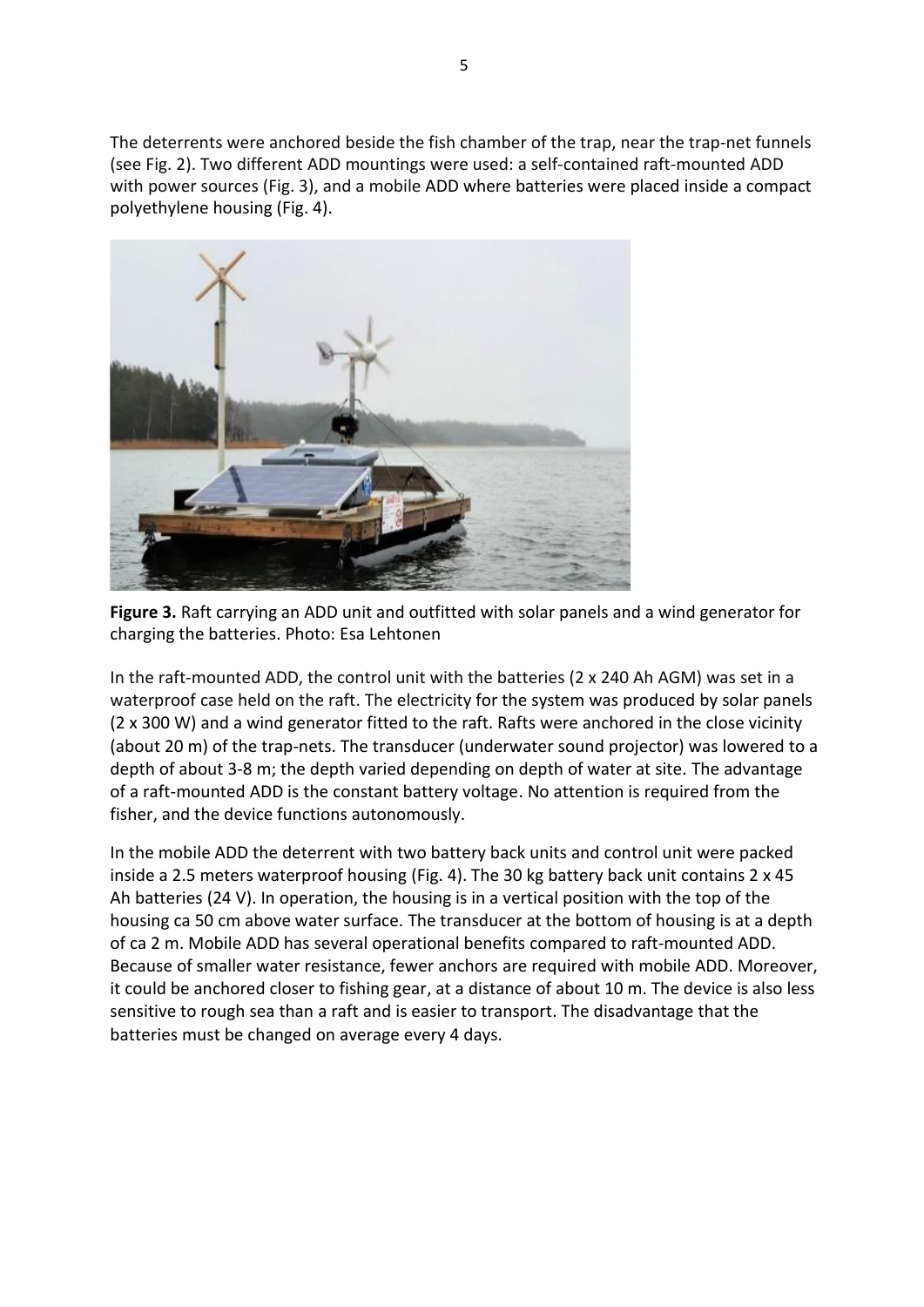The deterrents were anchored beside the fish chamber of the trap, near the trap-net funnels (see Fig. 2). Two different ADD mountings were used: a self-contained raft-mounted ADD with power sources (Fig. 3), and a mobile ADD where batteries were placed inside a compact polyethylene housing (Fig. 4).



**Figure 3.** Raft carrying an ADD unit and outfitted with solar panels and a wind generator for charging the batteries. Photo: Esa Lehtonen

In the raft-mounted ADD, the control unit with the batteries (2 x 240 Ah AGM) was set in a waterproof case held on the raft. The electricity for the system was produced by solar panels (2 x 300 W) and a wind generator fitted to the raft. Rafts were anchored in the close vicinity (about 20 m) of the trap-nets. The transducer (underwater sound projector) was lowered to a depth of about 3-8 m; the depth varied depending on depth of water at site. The advantage of a raft-mounted ADD is the constant battery voltage. No attention is required from the fisher, and the device functions autonomously.

In the mobile ADD the deterrent with two battery back units and control unit were packed inside a 2.5 meters waterproof housing (Fig. 4). The 30 kg battery back unit contains 2 x 45 Ah batteries (24 V). In operation, the housing is in a vertical position with the top of the housing ca 50 cm above water surface. The transducer at the bottom of housing is at a depth of ca 2 m. Mobile ADD has several operational benefits compared to raft-mounted ADD. Because of smaller water resistance, fewer anchors are required with mobile ADD. Moreover, it could be anchored closer to fishing gear, at a distance of about 10 m. The device is also less sensitive to rough sea than a raft and is easier to transport. The disadvantage that the batteries must be changed on average every 4 days.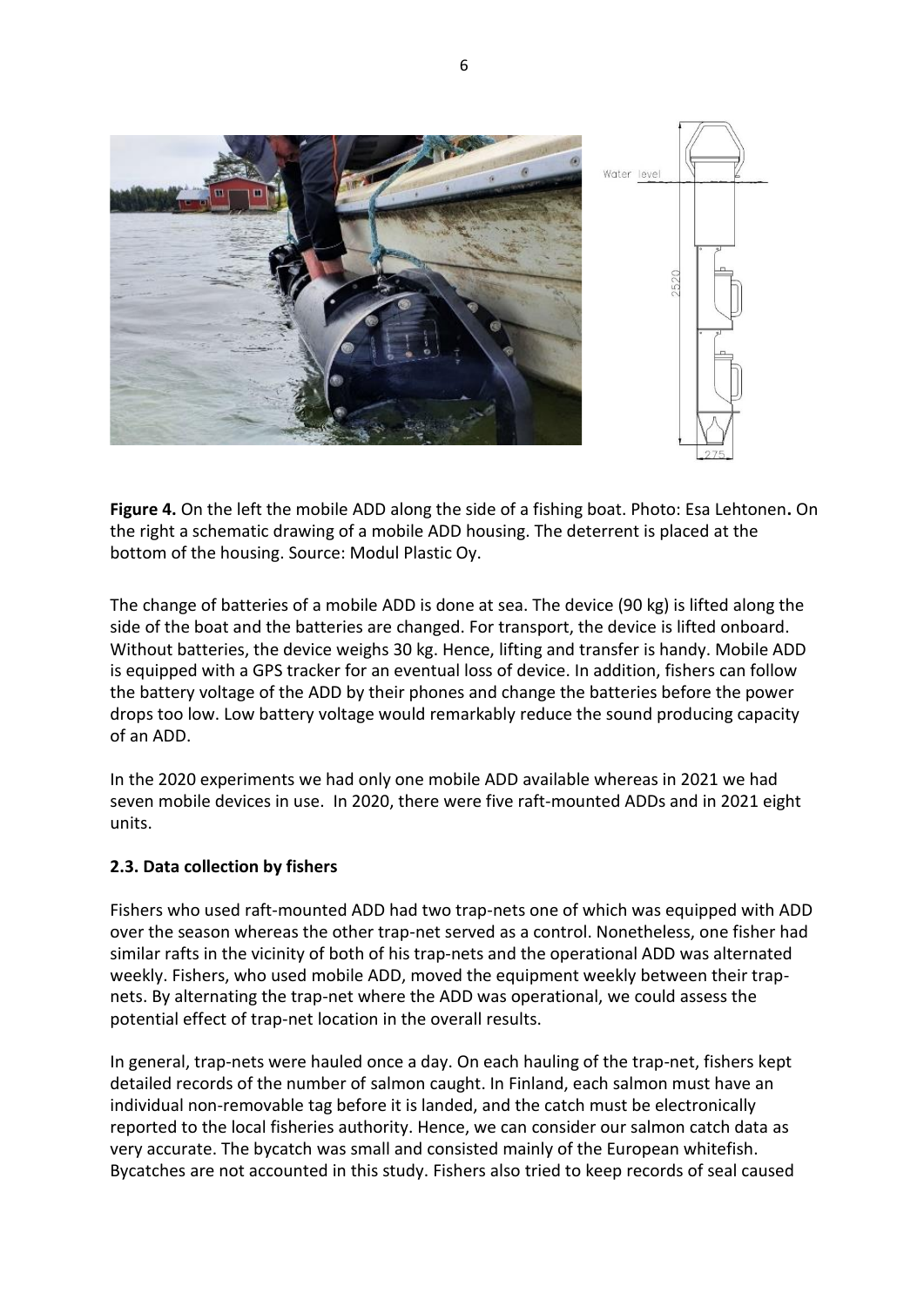

**Figure 4.** On the left the mobile ADD along the side of a fishing boat. Photo: Esa Lehtonen**.** On the right a schematic drawing of a mobile ADD housing. The deterrent is placed at the bottom of the housing. Source: Modul Plastic Oy.

The change of batteries of a mobile ADD is done at sea. The device (90 kg) is lifted along the side of the boat and the batteries are changed. For transport, the device is lifted onboard. Without batteries, the device weighs 30 kg. Hence, lifting and transfer is handy. Mobile ADD is equipped with a GPS tracker for an eventual loss of device. In addition, fishers can follow the battery voltage of the ADD by their phones and change the batteries before the power drops too low. Low battery voltage would remarkably reduce the sound producing capacity of an ADD.

In the 2020 experiments we had only one mobile ADD available whereas in 2021 we had seven mobile devices in use. In 2020, there were five raft-mounted ADDs and in 2021 eight units.

### **2.3. Data collection by fishers**

Fishers who used raft-mounted ADD had two trap-nets one of which was equipped with ADD over the season whereas the other trap-net served as a control. Nonetheless, one fisher had similar rafts in the vicinity of both of his trap-nets and the operational ADD was alternated weekly. Fishers, who used mobile ADD, moved the equipment weekly between their trapnets. By alternating the trap-net where the ADD was operational, we could assess the potential effect of trap-net location in the overall results.

In general, trap-nets were hauled once a day. On each hauling of the trap-net, fishers kept detailed records of the number of salmon caught. In Finland, each salmon must have an individual non-removable tag before it is landed, and the catch must be electronically reported to the local fisheries authority. Hence, we can consider our salmon catch data as very accurate. The bycatch was small and consisted mainly of the European whitefish. Bycatches are not accounted in this study. Fishers also tried to keep records of seal caused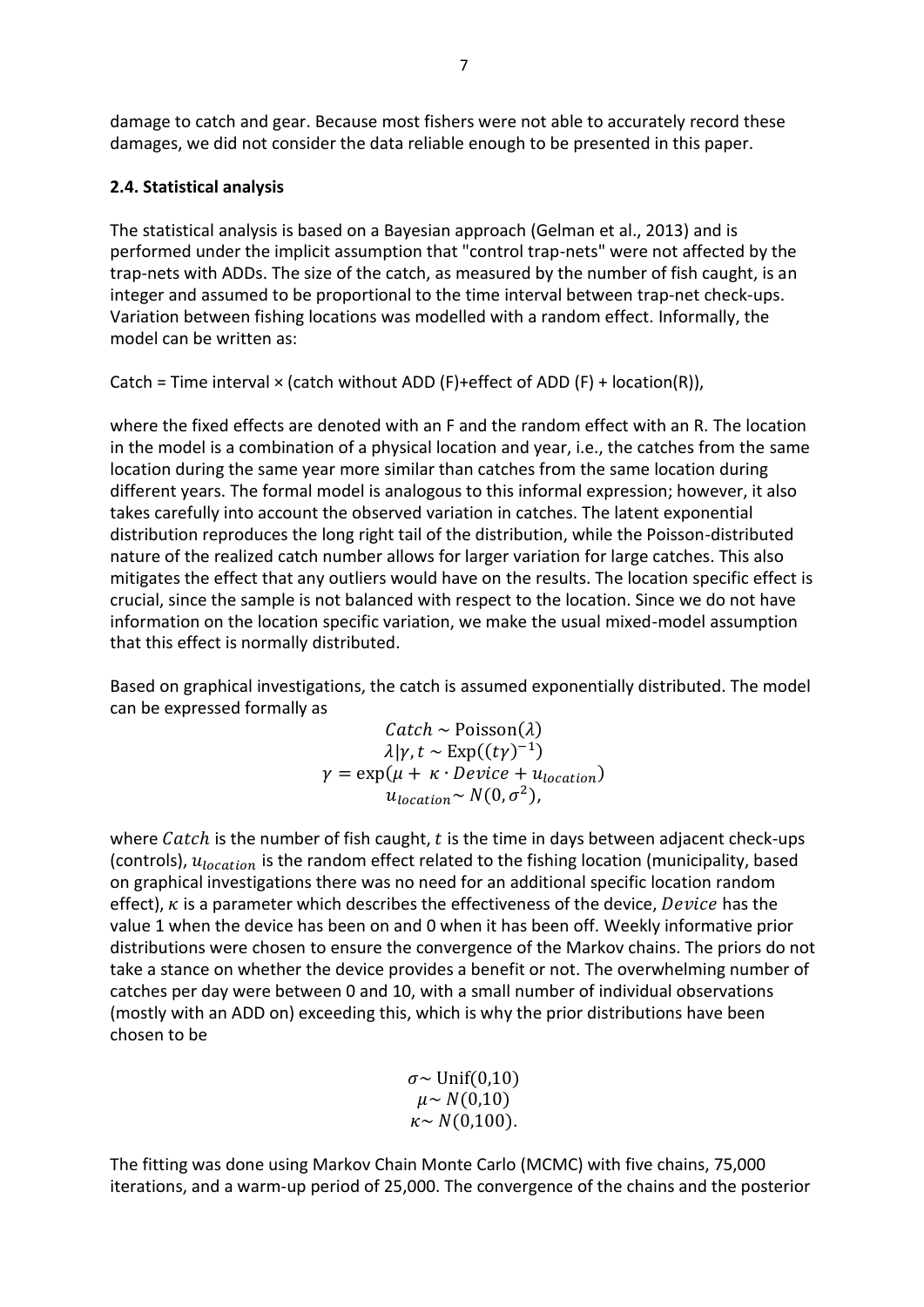damage to catch and gear. Because most fishers were not able to accurately record these damages, we did not consider the data reliable enough to be presented in this paper.

# **2.4. Statistical analysis**

The statistical analysis is based on a Bayesian approach (Gelman et al., 2013) and is performed under the implicit assumption that "control trap-nets" were not affected by the trap-nets with ADDs. The size of the catch, as measured by the number of fish caught, is an integer and assumed to be proportional to the time interval between trap-net check-ups. Variation between fishing locations was modelled with a random effect. Informally, the model can be written as:

Catch = Time interval  $\times$  (catch without ADD (F)+effect of ADD (F) + location(R)),

where the fixed effects are denoted with an F and the random effect with an R. The location in the model is a combination of a physical location and year, i.e., the catches from the same location during the same year more similar than catches from the same location during different years. The formal model is analogous to this informal expression; however, it also takes carefully into account the observed variation in catches. The latent exponential distribution reproduces the long right tail of the distribution, while the Poisson-distributed nature of the realized catch number allows for larger variation for large catches. This also mitigates the effect that any outliers would have on the results. The location specific effect is crucial, since the sample is not balanced with respect to the location. Since we do not have information on the location specific variation, we make the usual mixed-model assumption that this effect is normally distributed.

Based on graphical investigations, the catch is assumed exponentially distributed. The model can be expressed formally as

$$
Catch \sim \text{Poisson}(\lambda)
$$
  

$$
\lambda|\gamma, t \sim \text{Exp}((t\gamma)^{-1})
$$
  

$$
\gamma = \exp(\mu + \kappa \cdot \text{Device} + u_{location})
$$
  

$$
u_{location} \sim N(0, \sigma^2),
$$

where Catch is the number of fish caught,  $t$  is the time in days between adjacent check-ups (controls),  $u_{location}$  is the random effect related to the fishing location (municipality, based on graphical investigations there was no need for an additional specific location random effect),  $\kappa$  is a parameter which describes the effectiveness of the device, Device has the value 1 when the device has been on and 0 when it has been off. Weekly informative prior distributions were chosen to ensure the convergence of the Markov chains. The priors do not take a stance on whether the device provides a benefit or not. The overwhelming number of catches per day were between 0 and 10, with a small number of individual observations (mostly with an ADD on) exceeding this, which is why the prior distributions have been chosen to be

> $\sigma$ ~ Unif(0,10)  $\mu \sim N(0,10)$  $\kappa \sim N(0,100)$ .

The fitting was done using Markov Chain Monte Carlo (MCMC) with five chains, 75,000 iterations, and a warm-up period of 25,000. The convergence of the chains and the posterior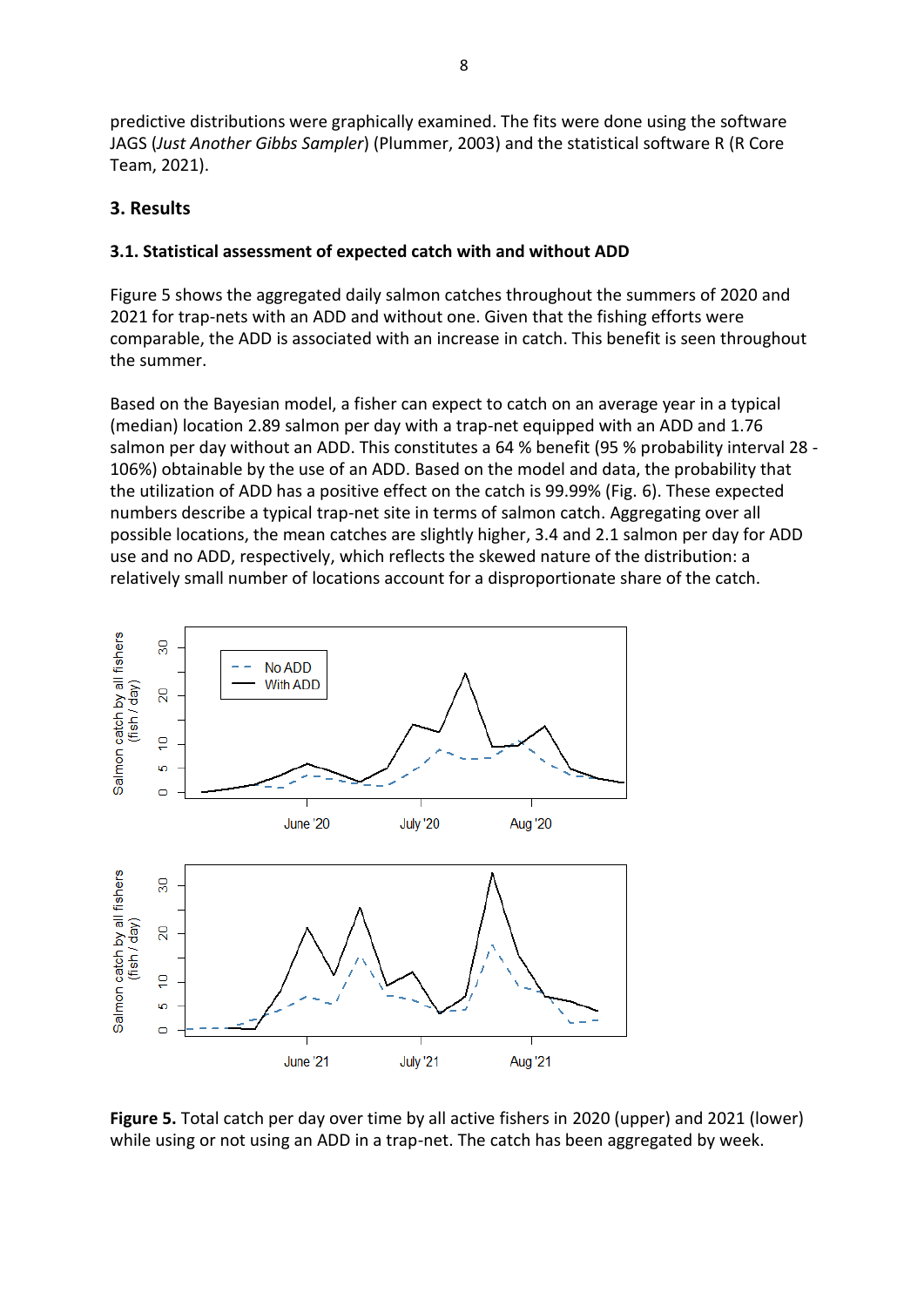predictive distributions were graphically examined. The fits were done using the software JAGS (*Just Another Gibbs Sampler*) (Plummer, 2003) and the statistical software R (R Core Team, 2021).

# **3. Results**

### **3.1. Statistical assessment of expected catch with and without ADD**

Figure 5 shows the aggregated daily salmon catches throughout the summers of 2020 and 2021 for trap-nets with an ADD and without one. Given that the fishing efforts were comparable, the ADD is associated with an increase in catch. This benefit is seen throughout the summer.

Based on the Bayesian model, a fisher can expect to catch on an average year in a typical (median) location 2.89 salmon per day with a trap-net equipped with an ADD and 1.76 salmon per day without an ADD. This constitutes a 64 % benefit (95 % probability interval 28 - 106%) obtainable by the use of an ADD. Based on the model and data, the probability that the utilization of ADD has a positive effect on the catch is 99.99% (Fig. 6). These expected numbers describe a typical trap-net site in terms of salmon catch. Aggregating over all possible locations, the mean catches are slightly higher, 3.4 and 2.1 salmon per day for ADD use and no ADD, respectively, which reflects the skewed nature of the distribution: a relatively small number of locations account for a disproportionate share of the catch.



**Figure 5.** Total catch per day over time by all active fishers in 2020 (upper) and 2021 (lower) while using or not using an ADD in a trap-net. The catch has been aggregated by week.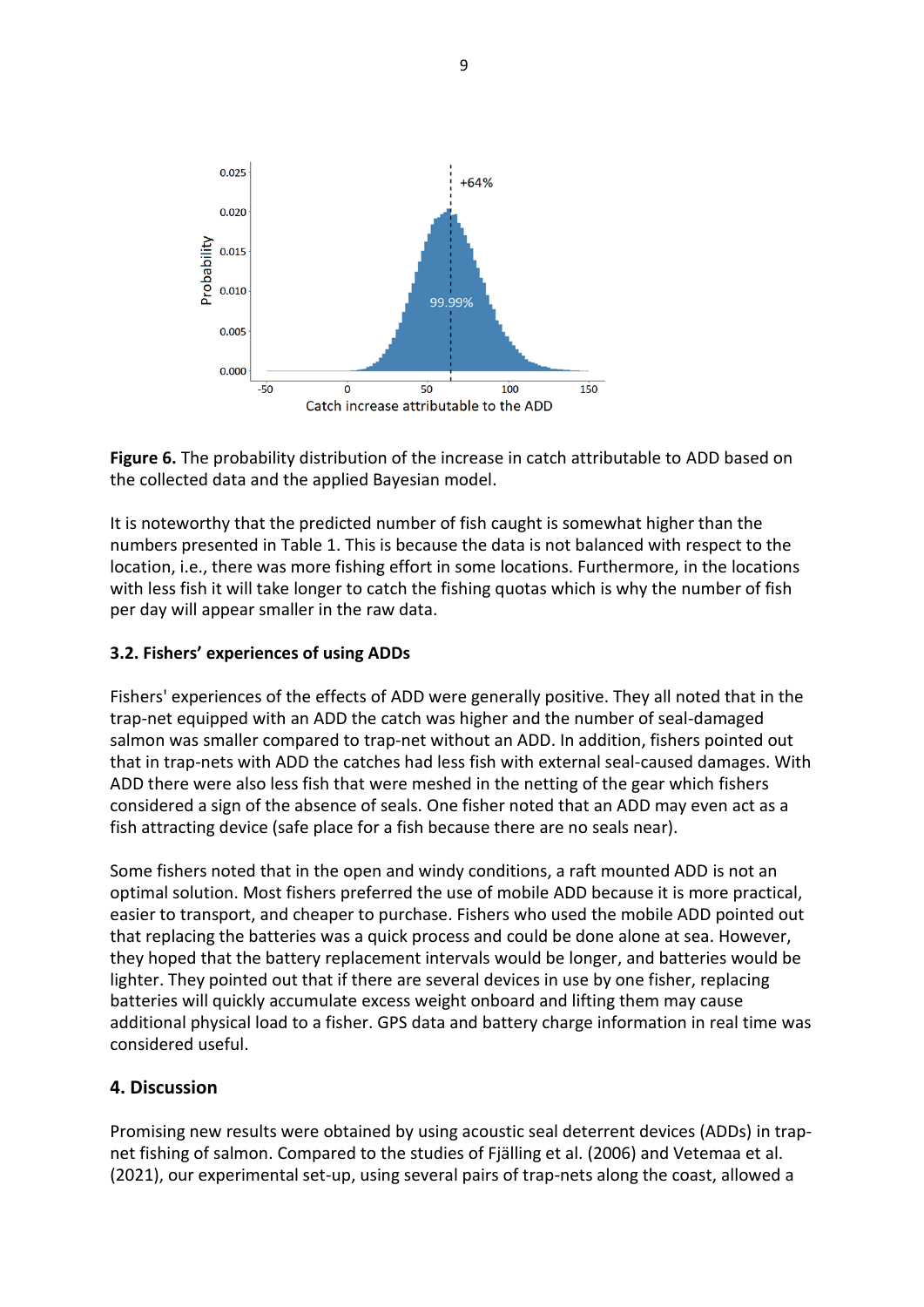



It is noteworthy that the predicted number of fish caught is somewhat higher than the numbers presented in Table 1. This is because the data is not balanced with respect to the location, i.e., there was more fishing effort in some locations. Furthermore, in the locations with less fish it will take longer to catch the fishing quotas which is why the number of fish per day will appear smaller in the raw data.

#### **3.2. Fishers' experiences of using ADDs**

Fishers' experiences of the effects of ADD were generally positive. They all noted that in the trap-net equipped with an ADD the catch was higher and the number of seal-damaged salmon was smaller compared to trap-net without an ADD. In addition, fishers pointed out that in trap-nets with ADD the catches had less fish with external seal-caused damages. With ADD there were also less fish that were meshed in the netting of the gear which fishers considered a sign of the absence of seals. One fisher noted that an ADD may even act as a fish attracting device (safe place for a fish because there are no seals near).

Some fishers noted that in the open and windy conditions, a raft mounted ADD is not an optimal solution. Most fishers preferred the use of mobile ADD because it is more practical, easier to transport, and cheaper to purchase. Fishers who used the mobile ADD pointed out that replacing the batteries was a quick process and could be done alone at sea. However, they hoped that the battery replacement intervals would be longer, and batteries would be lighter. They pointed out that if there are several devices in use by one fisher, replacing batteries will quickly accumulate excess weight onboard and lifting them may cause additional physical load to a fisher. GPS data and battery charge information in real time was considered useful.

### **4. Discussion**

Promising new results were obtained by using acoustic seal deterrent devices (ADDs) in trapnet fishing of salmon. Compared to the studies of Fjälling et al. (2006) and Vetemaa et al. (2021), our experimental set-up, using several pairs of trap-nets along the coast, allowed a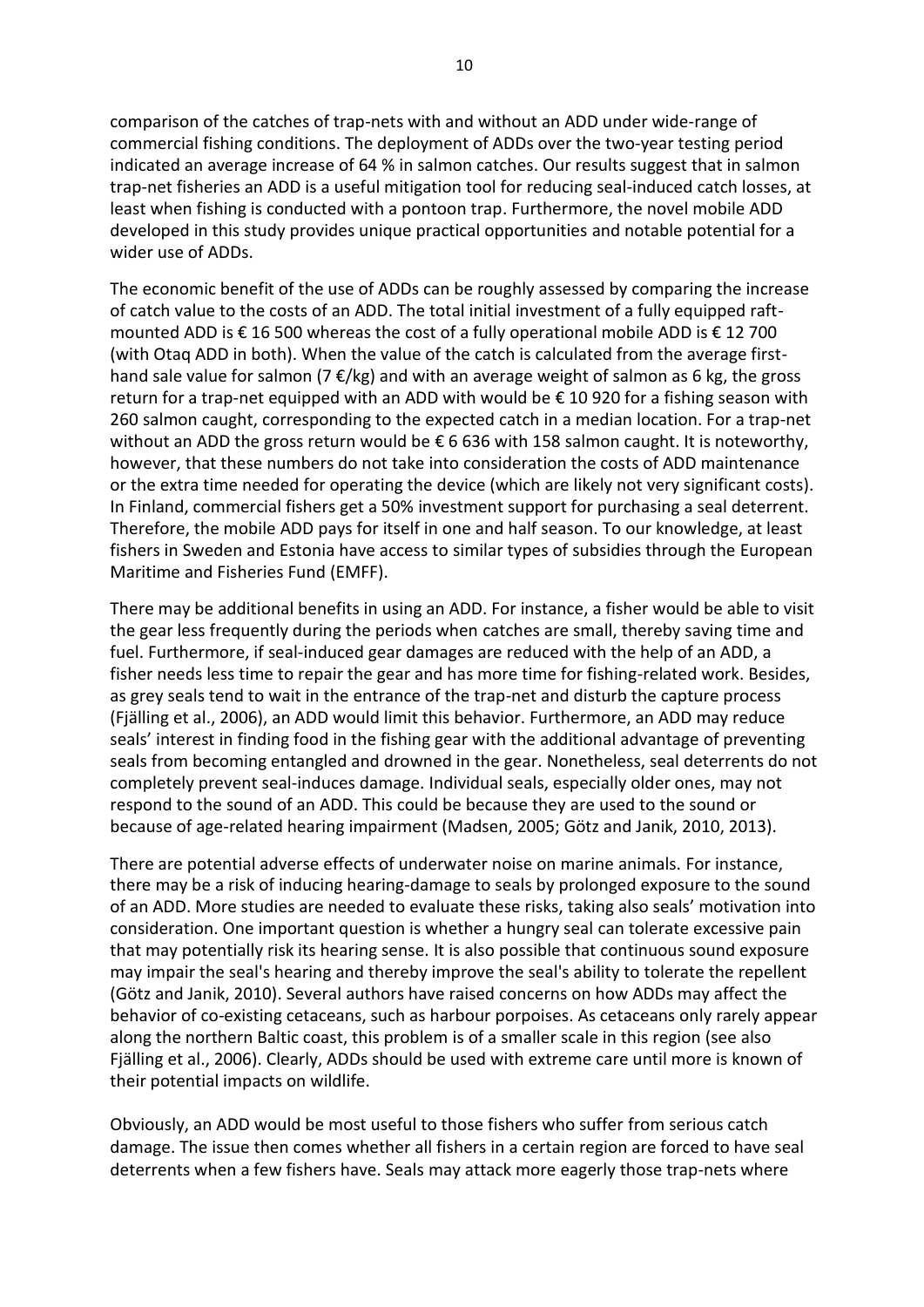comparison of the catches of trap-nets with and without an ADD under wide-range of commercial fishing conditions. The deployment of ADDs over the two-year testing period indicated an average increase of 64 % in salmon catches. Our results suggest that in salmon trap-net fisheries an ADD is a useful mitigation tool for reducing seal-induced catch losses, at least when fishing is conducted with a pontoon trap. Furthermore, the novel mobile ADD developed in this study provides unique practical opportunities and notable potential for a wider use of ADDs.

The economic benefit of the use of ADDs can be roughly assessed by comparing the increase of catch value to the costs of an ADD. The total initial investment of a fully equipped raftmounted ADD is € 16 500 whereas the cost of a fully operational mobile ADD is  $\epsilon$  12 700 (with Otaq ADD in both). When the value of the catch is calculated from the average firsthand sale value for salmon (7  $\epsilon$ /kg) and with an average weight of salmon as 6 kg, the gross return for a trap-net equipped with an ADD with would be  $\epsilon$  10 920 for a fishing season with 260 salmon caught, corresponding to the expected catch in a median location. For a trap-net without an ADD the gross return would be  $\epsilon$  6 636 with 158 salmon caught. It is noteworthy, however, that these numbers do not take into consideration the costs of ADD maintenance or the extra time needed for operating the device (which are likely not very significant costs). In Finland, commercial fishers get a 50% investment support for purchasing a seal deterrent. Therefore, the mobile ADD pays for itself in one and half season. To our knowledge, at least fishers in Sweden and Estonia have access to similar types of subsidies through the European Maritime and Fisheries Fund (EMFF).

There may be additional benefits in using an ADD. For instance, a fisher would be able to visit the gear less frequently during the periods when catches are small, thereby saving time and fuel. Furthermore, if seal-induced gear damages are reduced with the help of an ADD, a fisher needs less time to repair the gear and has more time for fishing-related work. Besides, as grey seals tend to wait in the entrance of the trap-net and disturb the capture process (Fjälling et al., 2006), an ADD would limit this behavior. Furthermore, an ADD may reduce seals' interest in finding food in the fishing gear with the additional advantage of preventing seals from becoming entangled and drowned in the gear. Nonetheless, seal deterrents do not completely prevent seal-induces damage. Individual seals, especially older ones, may not respond to the sound of an ADD. This could be because they are used to the sound or because of age-related hearing impairment (Madsen, 2005; Götz and Janik, 2010, 2013).

There are potential adverse effects of underwater noise on marine animals. For instance, there may be a risk of inducing hearing-damage to seals by prolonged exposure to the sound of an ADD. More studies are needed to evaluate these risks, taking also seals' motivation into consideration. One important question is whether a hungry seal can tolerate excessive pain that may potentially risk its hearing sense. It is also possible that continuous sound exposure may impair the seal's hearing and thereby improve the seal's ability to tolerate the repellent (Götz and Janik, 2010). Several authors have raised concerns on how ADDs may affect the behavior of co-existing cetaceans, such as harbour porpoises. As cetaceans only rarely appear along the northern Baltic coast, this problem is of a smaller scale in this region (see also Fjälling et al., 2006). Clearly, ADDs should be used with extreme care until more is known of their potential impacts on wildlife.

Obviously, an ADD would be most useful to those fishers who suffer from serious catch damage. The issue then comes whether all fishers in a certain region are forced to have seal deterrents when a few fishers have. Seals may attack more eagerly those trap-nets where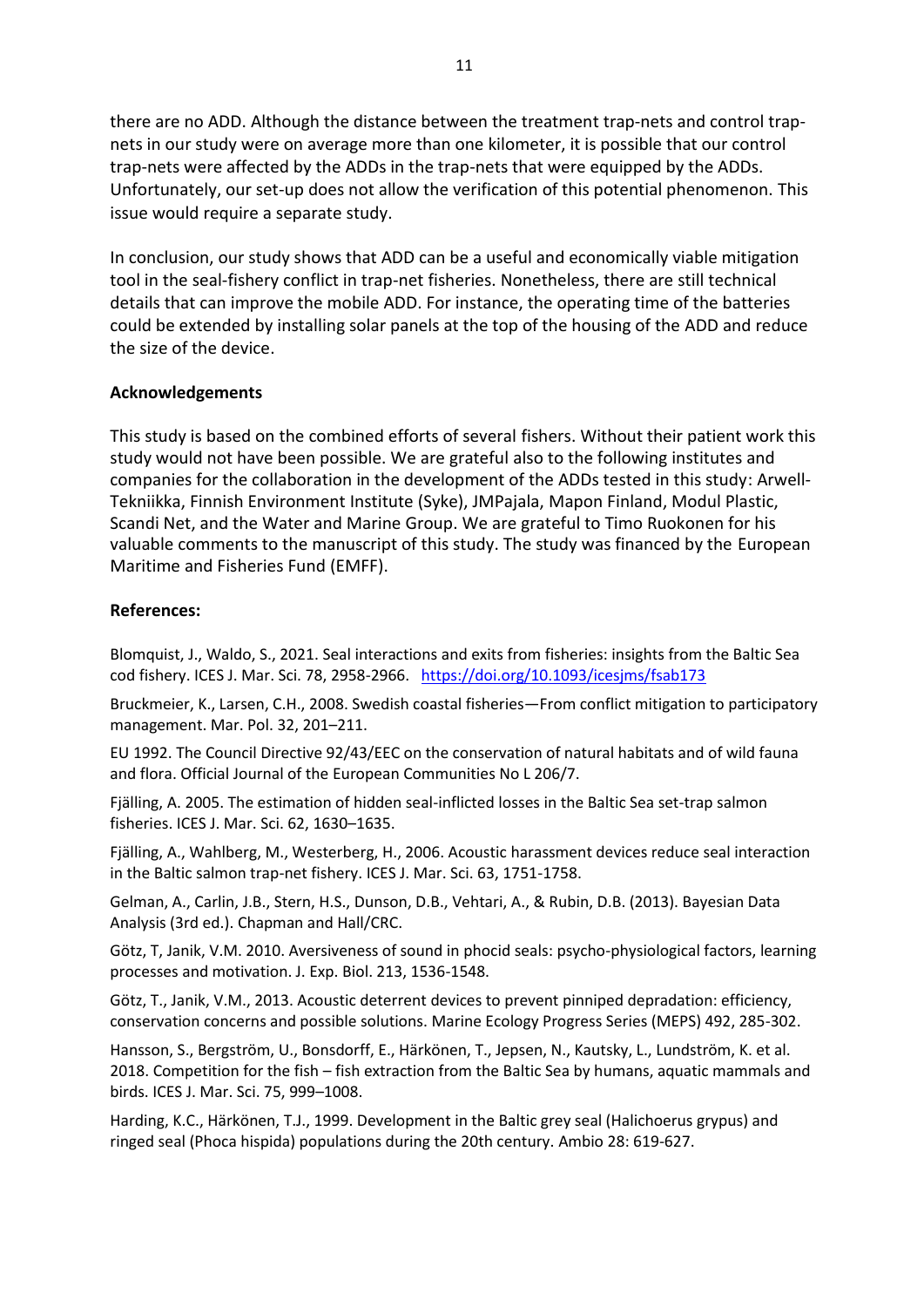there are no ADD. Although the distance between the treatment trap-nets and control trapnets in our study were on average more than one kilometer, it is possible that our control trap-nets were affected by the ADDs in the trap-nets that were equipped by the ADDs. Unfortunately, our set-up does not allow the verification of this potential phenomenon. This issue would require a separate study.

In conclusion, our study shows that ADD can be a useful and economically viable mitigation tool in the seal-fishery conflict in trap-net fisheries. Nonetheless, there are still technical details that can improve the mobile ADD. For instance, the operating time of the batteries could be extended by installing solar panels at the top of the housing of the ADD and reduce the size of the device.

#### **Acknowledgements**

This study is based on the combined efforts of several fishers. Without their patient work this study would not have been possible. We are grateful also to the following institutes and companies for the collaboration in the development of the ADDs tested in this study: Arwell-Tekniikka, Finnish Environment Institute (Syke), JMPajala, Mapon Finland, Modul Plastic, Scandi Net, and the Water and Marine Group. We are grateful to Timo Ruokonen for his valuable comments to the manuscript of this study. The study was financed by the European Maritime and Fisheries Fund (EMFF).

#### **References:**

Blomquist, J., Waldo, S., 2021. Seal interactions and exits from fisheries: insights from the Baltic Sea cod fishery. ICES J. Mar. Sci. 78, 2958-2966. <https://doi.org/10.1093/icesjms/fsab173>

Bruckmeier, K., Larsen, C.H., 2008. Swedish coastal fisheries—From conflict mitigation to participatory management. Mar. Pol. 32, 201–211.

EU 1992. The Council Directive 92/43/EEC on the conservation of natural habitats and of wild fauna and flora. Official Journal of the European Communities No L 206/7.

Fjälling, A. 2005. The estimation of hidden seal-inflicted losses in the Baltic Sea set-trap salmon fisheries. ICES J. Mar. Sci. 62, 1630–1635.

Fjälling, A., Wahlberg, M., Westerberg, H., 2006. Acoustic harassment devices reduce seal interaction in the Baltic salmon trap-net fishery. ICES J. Mar. Sci. 63, 1751-1758.

Gelman, A., Carlin, J.B., Stern, H.S., Dunson, D.B., Vehtari, A., & Rubin, D.B. (2013). Bayesian Data Analysis (3rd ed.). Chapman and Hall/CRC.

Götz, T, Janik, V.M. 2010. Aversiveness of sound in phocid seals: psycho-physiological factors, learning processes and motivation. J. Exp. Biol. 213, 1536-1548.

Götz, T., Janik, V.M., 2013. Acoustic deterrent devices to prevent pinniped depradation: efficiency, conservation concerns and possible solutions. Marine Ecology Progress Series (MEPS) 492, 285-302.

Hansson, S., Bergström, U., Bonsdorff, E., Härkönen, T., Jepsen, N., Kautsky, L., Lundström, K. et al. 2018. Competition for the fish – fish extraction from the Baltic Sea by humans, aquatic mammals and birds. ICES J. Mar. Sci. 75, 999–1008.

Harding, K.C., Härkönen, T.J., 1999. Development in the Baltic grey seal (Halichoerus grypus) and ringed seal (Phoca hispida) populations during the 20th century. Ambio 28: 619-627.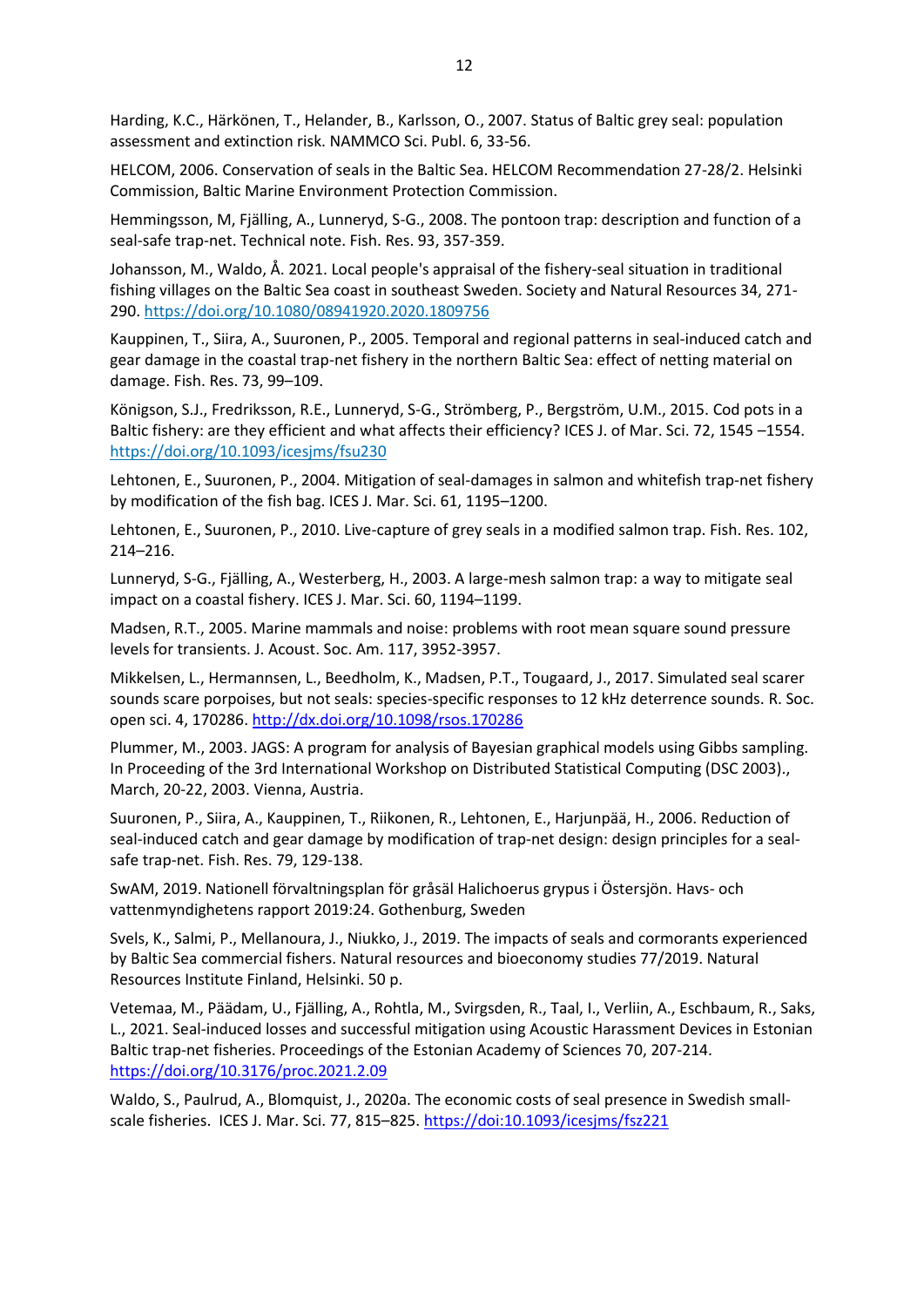Harding, K.C., Härkönen, T., Helander, B., Karlsson, O., 2007. Status of Baltic grey seal: population assessment and extinction risk. NAMMCO Sci. Publ. 6, 33-56.

HELCOM, 2006. Conservation of seals in the Baltic Sea. HELCOM Recommendation 27-28/2. Helsinki Commission, Baltic Marine Environment Protection Commission.

Hemmingsson, M, Fjälling, A., Lunneryd, S-G., 2008. The pontoon trap: description and function of a seal-safe trap-net. Technical note. Fish. Res. 93, 357-359.

Johansson, M., Waldo, Å. 2021. Local people's appraisal of the fishery-seal situation in traditional fishing villages on the Baltic Sea coast in southeast Sweden. Society and Natural Resources 34, 271- 290.<https://doi.org/10.1080/08941920.2020.1809756>

Kauppinen, T., Siira, A., Suuronen, P., 2005. Temporal and regional patterns in seal-induced catch and gear damage in the coastal trap-net fishery in the northern Baltic Sea: effect of netting material on damage. Fish. Res. 73, 99–109.

Königson, S.J., Fredriksson, R.E., Lunneryd, S-G., Strömberg, P., Bergström, U.M., 2015. Cod pots in a Baltic fishery: are they efficient and what affects their efficiency? ICES J. of Mar. Sci. 72, 1545 –1554. <https://doi.org/10.1093/icesjms/fsu230>

Lehtonen, E., Suuronen, P., 2004. Mitigation of seal-damages in salmon and whitefish trap-net fishery by modification of the fish bag. ICES J. Mar. Sci. 61, 1195–1200.

Lehtonen, E., Suuronen, P., 2010. Live-capture of grey seals in a modified salmon trap. Fish. Res. 102, 214–216.

Lunneryd, S-G., Fjälling, A., Westerberg, H., 2003. A large-mesh salmon trap: a way to mitigate seal impact on a coastal fishery. ICES J. Mar. Sci. 60, 1194–1199.

Madsen, R.T., 2005. Marine mammals and noise: problems with root mean square sound pressure levels for transients. J. Acoust. Soc. Am. 117, 3952-3957.

Mikkelsen, L., Hermannsen, L., Beedholm, K., Madsen, P.T., Tougaard, J., 2017. Simulated seal scarer sounds scare porpoises, but not seals: species-specific responses to 12 kHz deterrence sounds. R. Soc. open sci. 4, 170286[. http://dx.doi.org/10.1098/rsos.170286](http://dx.doi.org/10.1098/rsos.170286)

Plummer, M., 2003. JAGS: A program for analysis of Bayesian graphical models using Gibbs sampling. In Proceeding of the 3rd International Workshop on Distributed Statistical Computing (DSC 2003)., March, 20-22, 2003. Vienna, Austria.

Suuronen, P., Siira, A., Kauppinen, T., Riikonen, R., Lehtonen, E., Harjunpää, H., 2006. Reduction of seal-induced catch and gear damage by modification of trap-net design: design principles for a sealsafe trap-net. Fish. Res. 79, 129-138.

SwAM, 2019. Nationell förvaltningsplan för gråsäl Halichoerus grypus i Östersjön. Havs- och vattenmyndighetens rapport 2019:24. Gothenburg, Sweden

Svels, K., Salmi, P., Mellanoura, J., Niukko, J., 2019. The impacts of seals and cormorants experienced by Baltic Sea commercial fishers. Natural resources and bioeconomy studies 77/2019. Natural Resources Institute Finland, Helsinki. 50 p.

Vetemaa, M., Päädam, U., Fjälling, A., Rohtla, M., Svirgsden, R., Taal, I., Verliin, A., Eschbaum, R., Saks, L., 2021. Seal-induced losses and successful mitigation using Acoustic Harassment Devices in Estonian Baltic trap-net fisheries. Proceedings of the Estonian Academy of Sciences 70, 207-214. <https://doi.org/10.3176/proc.2021.2.09>

Waldo, S., Paulrud, A., Blomquist, J., 2020a. The economic costs of seal presence in Swedish smallscale fisheries. ICES J. Mar. Sci. 77, 815–825. <https://doi:10.1093/icesjms/fsz221>